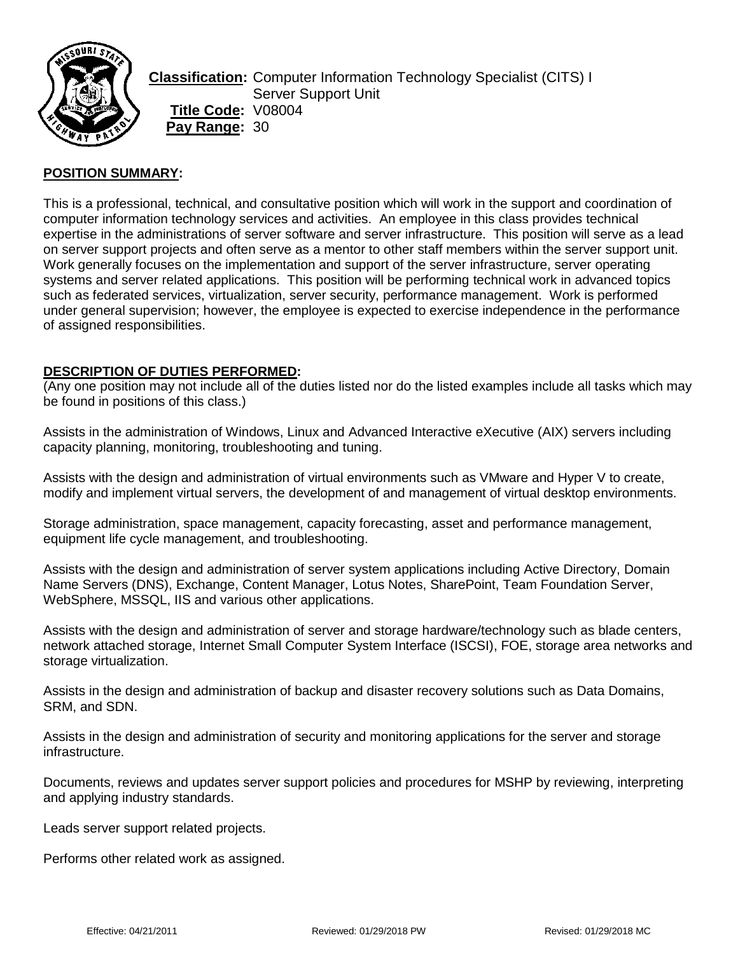

**Classification:** Computer Information Technology Specialist (CITS) I Server Support Unit **Title Code:** V08004 **Pay Range:** 30

## **POSITION SUMMARY:**

This is a professional, technical, and consultative position which will work in the support and coordination of computer information technology services and activities. An employee in this class provides technical expertise in the administrations of server software and server infrastructure. This position will serve as a lead on server support projects and often serve as a mentor to other staff members within the server support unit. Work generally focuses on the implementation and support of the server infrastructure, server operating systems and server related applications. This position will be performing technical work in advanced topics such as federated services, virtualization, server security, performance management. Work is performed under general supervision; however, the employee is expected to exercise independence in the performance of assigned responsibilities.

## **DESCRIPTION OF DUTIES PERFORMED:**

(Any one position may not include all of the duties listed nor do the listed examples include all tasks which may be found in positions of this class.)

Assists in the administration of Windows, Linux and Advanced Interactive eXecutive (AIX) servers including capacity planning, monitoring, troubleshooting and tuning.

Assists with the design and administration of virtual environments such as VMware and Hyper V to create, modify and implement virtual servers, the development of and management of virtual desktop environments.

Storage administration, space management, capacity forecasting, asset and performance management, equipment life cycle management, and troubleshooting.

Assists with the design and administration of server system applications including Active Directory, Domain Name Servers (DNS), Exchange, Content Manager, Lotus Notes, SharePoint, Team Foundation Server, WebSphere, MSSQL, IIS and various other applications.

Assists with the design and administration of server and storage hardware/technology such as blade centers, network attached storage, Internet Small Computer System Interface (ISCSI), FOE, storage area networks and storage virtualization.

Assists in the design and administration of backup and disaster recovery solutions such as Data Domains, SRM, and SDN.

Assists in the design and administration of security and monitoring applications for the server and storage infrastructure.

Documents, reviews and updates server support policies and procedures for MSHP by reviewing, interpreting and applying industry standards.

Leads server support related projects.

Performs other related work as assigned.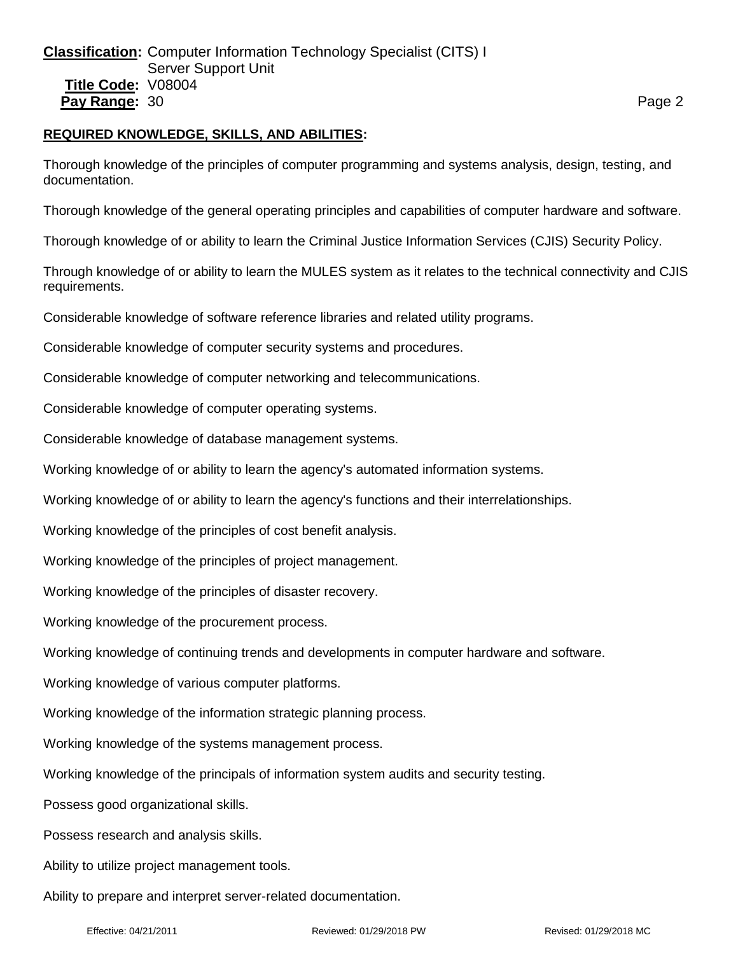# **REQUIRED KNOWLEDGE, SKILLS, AND ABILITIES:**

Thorough knowledge of the principles of computer programming and systems analysis, design, testing, and documentation.

Thorough knowledge of the general operating principles and capabilities of computer hardware and software.

Thorough knowledge of or ability to learn the Criminal Justice Information Services (CJIS) Security Policy.

Through knowledge of or ability to learn the MULES system as it relates to the technical connectivity and CJIS requirements.

Considerable knowledge of software reference libraries and related utility programs.

Considerable knowledge of computer security systems and procedures.

Considerable knowledge of computer networking and telecommunications.

Considerable knowledge of computer operating systems.

Considerable knowledge of database management systems.

Working knowledge of or ability to learn the agency's automated information systems.

Working knowledge of or ability to learn the agency's functions and their interrelationships.

Working knowledge of the principles of cost benefit analysis.

Working knowledge of the principles of project management.

Working knowledge of the principles of disaster recovery.

Working knowledge of the procurement process.

Working knowledge of continuing trends and developments in computer hardware and software.

Working knowledge of various computer platforms.

Working knowledge of the information strategic planning process.

Working knowledge of the systems management process.

Working knowledge of the principals of information system audits and security testing.

Possess good organizational skills.

Possess research and analysis skills.

Ability to utilize project management tools.

Ability to prepare and interpret server-related documentation.